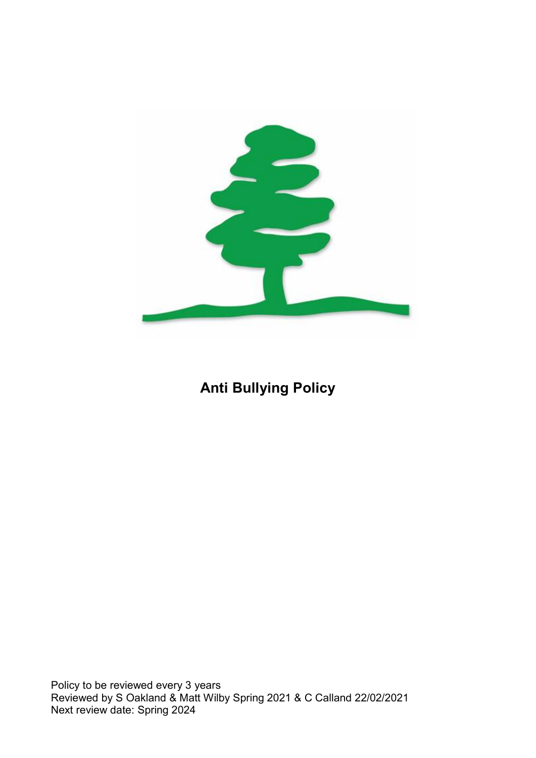

# Anti Bullying Policy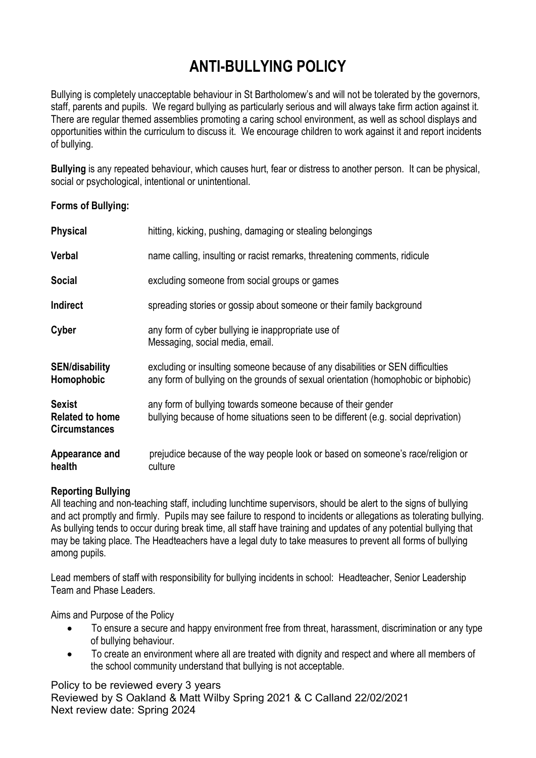# ANTI-BULLYING POLICY

Bullying is completely unacceptable behaviour in St Bartholomew's and will not be tolerated by the governors, staff, parents and pupils. We regard bullying as particularly serious and will always take firm action against it. There are regular themed assemblies promoting a caring school environment, as well as school displays and opportunities within the curriculum to discuss it. We encourage children to work against it and report incidents of bullying.

Bullying is any repeated behaviour, which causes hurt, fear or distress to another person. It can be physical, social or psychological, intentional or unintentional.

#### Forms of Bullying:

| <b>Physical</b>                                                 | hitting, kicking, pushing, damaging or stealing belongings                                                                                                           |
|-----------------------------------------------------------------|----------------------------------------------------------------------------------------------------------------------------------------------------------------------|
| <b>Verbal</b>                                                   | name calling, insulting or racist remarks, threatening comments, ridicule                                                                                            |
| <b>Social</b>                                                   | excluding someone from social groups or games                                                                                                                        |
| Indirect                                                        | spreading stories or gossip about someone or their family background                                                                                                 |
| Cyber                                                           | any form of cyber bullying ie inappropriate use of<br>Messaging, social media, email.                                                                                |
| <b>SEN/disability</b><br>Homophobic                             | excluding or insulting someone because of any disabilities or SEN difficulties<br>any form of bullying on the grounds of sexual orientation (homophobic or biphobic) |
| <b>Sexist</b><br><b>Related to home</b><br><b>Circumstances</b> | any form of bullying towards someone because of their gender<br>bullying because of home situations seen to be different (e.g. social deprivation)                   |
| Appearance and<br>health                                        | prejudice because of the way people look or based on someone's race/religion or<br>culture                                                                           |

#### Reporting Bullying

All teaching and non-teaching staff, including lunchtime supervisors, should be alert to the signs of bullying and act promptly and firmly. Pupils may see failure to respond to incidents or allegations as tolerating bullying. As bullying tends to occur during break time, all staff have training and updates of any potential bullying that may be taking place. The Headteachers have a legal duty to take measures to prevent all forms of bullying among pupils.

Lead members of staff with responsibility for bullying incidents in school: Headteacher, Senior Leadership Team and Phase Leaders.

Aims and Purpose of the Policy

- To ensure a secure and happy environment free from threat, harassment, discrimination or any type of bullying behaviour.
- To create an environment where all are treated with dignity and respect and where all members of the school community understand that bullying is not acceptable.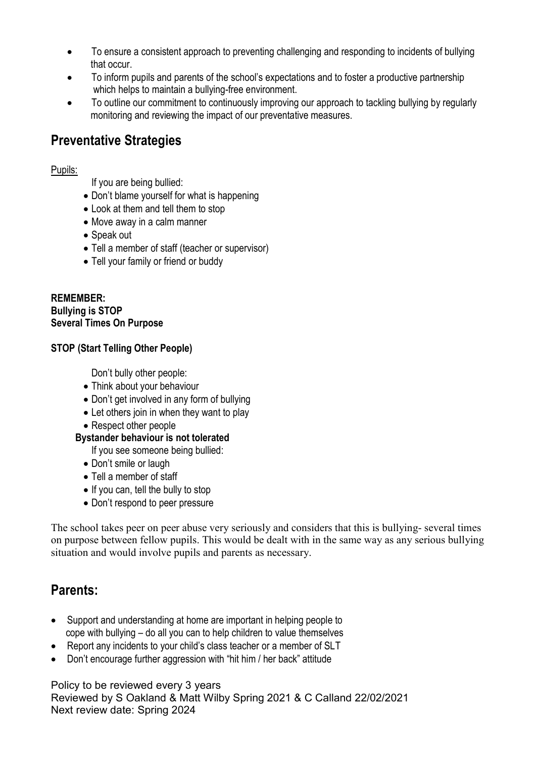- To ensure a consistent approach to preventing challenging and responding to incidents of bullying that occur.
- To inform pupils and parents of the school's expectations and to foster a productive partnership which helps to maintain a bullying-free environment.
- To outline our commitment to continuously improving our approach to tackling bullying by regularly monitoring and reviewing the impact of our preventative measures.

# Preventative Strategies

#### Pupils:

If you are being bullied:

- Don't blame yourself for what is happening
- Look at them and tell them to stop
- Move away in a calm manner
- Speak out
- Tell a member of staff (teacher or supervisor)
- Tell your family or friend or buddy

REMEMBER: Bullying is STOP Several Times On Purpose

#### STOP (Start Telling Other People)

Don't bully other people:

- Think about your behaviour
- Don't get involved in any form of bullying
- Let others join in when they want to play
- Respect other people

#### Bystander behaviour is not tolerated

If you see someone being bullied:

- Don't smile or laugh
- Tell a member of staff
- If you can, tell the bully to stop
- Don't respond to peer pressure

The school takes peer on peer abuse very seriously and considers that this is bullying- several times on purpose between fellow pupils. This would be dealt with in the same way as any serious bullying situation and would involve pupils and parents as necessary.

# Parents:

- Support and understanding at home are important in helping people to cope with bullying – do all you can to help children to value themselves
- Report any incidents to your child's class teacher or a member of SLT
- Don't encourage further aggression with "hit him / her back" attitude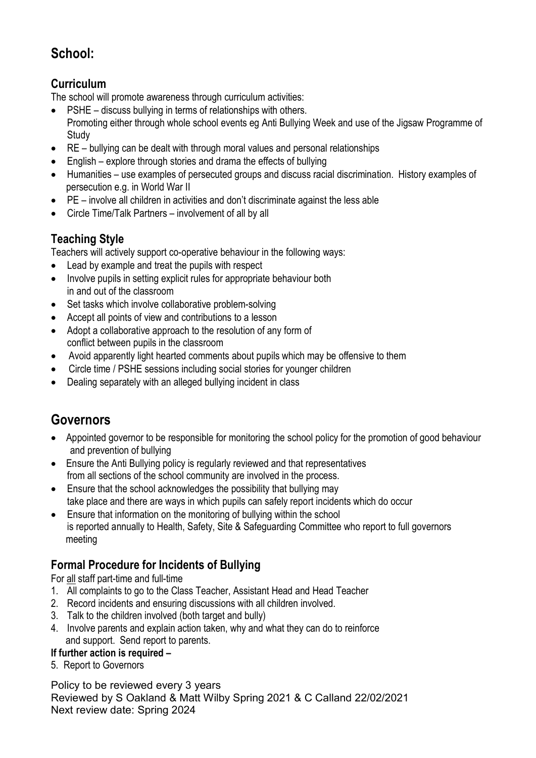# School:

#### **Curriculum**

The school will promote awareness through curriculum activities:

- PSHE discuss bullying in terms of relationships with others. Promoting either through whole school events eg Anti Bullying Week and use of the Jigsaw Programme of **Study**
- RE bullying can be dealt with through moral values and personal relationships
- English explore through stories and drama the effects of bullying
- Humanities use examples of persecuted groups and discuss racial discrimination. History examples of persecution e.g. in World War II
- PE involve all children in activities and don't discriminate against the less able
- Circle Time/Talk Partners involvement of all by all

#### Teaching Style

Teachers will actively support co-operative behaviour in the following ways:

- Lead by example and treat the pupils with respect
- Involve pupils in setting explicit rules for appropriate behaviour both in and out of the classroom
- Set tasks which involve collaborative problem-solving
- Accept all points of view and contributions to a lesson
- Adopt a collaborative approach to the resolution of any form of conflict between pupils in the classroom
- Avoid apparently light hearted comments about pupils which may be offensive to them
- Circle time / PSHE sessions including social stories for younger children
- Dealing separately with an alleged bullying incident in class

### Governors

- Appointed governor to be responsible for monitoring the school policy for the promotion of good behaviour and prevention of bullying
- Ensure the Anti Bullying policy is regularly reviewed and that representatives from all sections of the school community are involved in the process.
- Ensure that the school acknowledges the possibility that bullying may take place and there are ways in which pupils can safely report incidents which do occur
- Ensure that information on the monitoring of bullying within the school is reported annually to Health, Safety, Site & Safeguarding Committee who report to full governors meeting

#### Formal Procedure for Incidents of Bullying

For all staff part-time and full-time

- 1. All complaints to go to the Class Teacher, Assistant Head and Head Teacher
- 2. Record incidents and ensuring discussions with all children involved.
- 3. Talk to the children involved (both target and bully)
- 4. Involve parents and explain action taken, why and what they can do to reinforce and support. Send report to parents.

#### If further action is required –

5. Report to Governors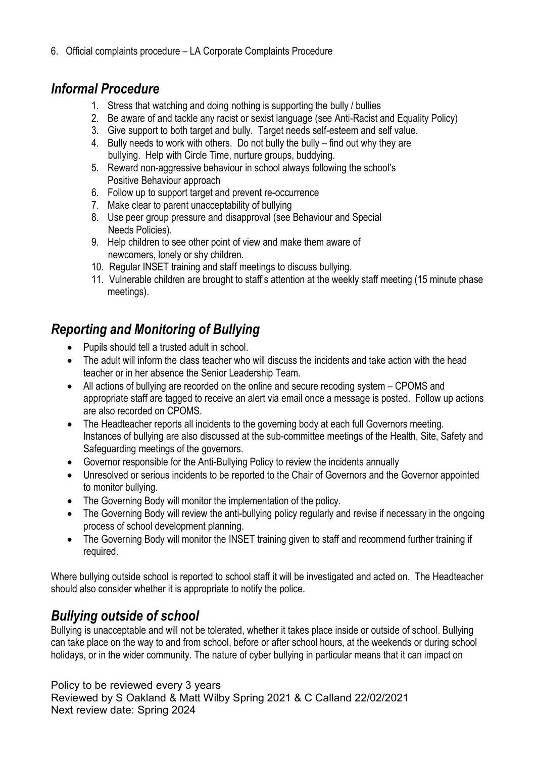6. Official complaints procedure – LA Corporate Complaints Procedure

### Informal Procedure

- 1. Stress that watching and doing nothing is supporting the bully / bullies
- 2. Be aware of and tackle any racist or sexist language (see Anti-Racist and Equality Policy)
- 3. Give support to both target and bully. Target needs self-esteem and self value.
- 4. Bully needs to work with others. Do not bully the bully find out why they are bullying. Help with Circle Time, nurture groups, buddying.
- 5. Reward non-aggressive behaviour in school always following the school's Positive Behaviour approach
- 6. Follow up to support target and prevent re-occurrence
- 7. Make clear to parent unacceptability of bullying
- 8. Use peer group pressure and disapproval (see Behaviour and Special Needs Policies).
- 9. Help children to see other point of view and make them aware of newcomers, lonely or shy children.
- 10. Regular INSET training and staff meetings to discuss bullying.
- 11. Vulnerable children are brought to staff's attention at the weekly staff meeting (15 minute phase meetings).

# Reporting and Monitoring of Bullying

- Pupils should tell a trusted adult in school.
- The adult will inform the class teacher who will discuss the incidents and take action with the head teacher or in her absence the Senior Leadership Team.
- All actions of bullying are recorded on the online and secure recoding system CPOMS and appropriate staff are tagged to receive an alert via email once a message is posted. Follow up actions are also recorded on CPOMS.
- The Headteacher reports all incidents to the governing body at each full Governors meeting. Instances of bullying are also discussed at the sub-committee meetings of the Health, Site, Safety and Safeguarding meetings of the governors.
- Governor responsible for the Anti-Bullying Policy to review the incidents annually
- Unresolved or serious incidents to be reported to the Chair of Governors and the Governor appointed to monitor bullying.
- The Governing Body will monitor the implementation of the policy.
- The Governing Body will review the anti-bullying policy regularly and revise if necessary in the ongoing process of school development planning.
- The Governing Body will monitor the INSET training given to staff and recommend further training if required.

Where bullying outside school is reported to school staff it will be investigated and acted on. The Headteacher should also consider whether it is appropriate to notify the police.

### Bullying outside of school

Bullying is unacceptable and will not be tolerated, whether it takes place inside or outside of school. Bullying can take place on the way to and from school, before or after school hours, at the weekends or during school holidays, or in the wider community. The nature of cyber bullying in particular means that it can impact on

Policy to be reviewed every 3 years

Reviewed by S Oakland & Matt Wilby Spring 2021 & C Calland 22/02/2021 Next review date: Spring 2024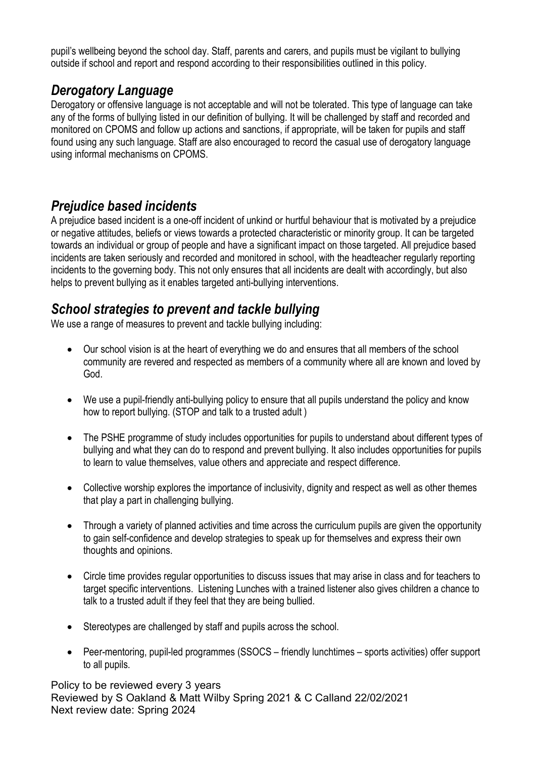pupil's wellbeing beyond the school day. Staff, parents and carers, and pupils must be vigilant to bullying outside if school and report and respond according to their responsibilities outlined in this policy.

# Derogatory Language

Derogatory or offensive language is not acceptable and will not be tolerated. This type of language can take any of the forms of bullying listed in our definition of bullying. It will be challenged by staff and recorded and monitored on CPOMS and follow up actions and sanctions, if appropriate, will be taken for pupils and staff found using any such language. Staff are also encouraged to record the casual use of derogatory language using informal mechanisms on CPOMS.

### Prejudice based incidents

A prejudice based incident is a one-off incident of unkind or hurtful behaviour that is motivated by a prejudice or negative attitudes, beliefs or views towards a protected characteristic or minority group. It can be targeted towards an individual or group of people and have a significant impact on those targeted. All prejudice based incidents are taken seriously and recorded and monitored in school, with the headteacher regularly reporting incidents to the governing body. This not only ensures that all incidents are dealt with accordingly, but also helps to prevent bullying as it enables targeted anti-bullying interventions.

### School strategies to prevent and tackle bullying

We use a range of measures to prevent and tackle bullying including:

- Our school vision is at the heart of everything we do and ensures that all members of the school community are revered and respected as members of a community where all are known and loved by God.
- We use a pupil-friendly anti-bullying policy to ensure that all pupils understand the policy and know how to report bullying. (STOP and talk to a trusted adult )
- The PSHE programme of study includes opportunities for pupils to understand about different types of bullying and what they can do to respond and prevent bullying. It also includes opportunities for pupils to learn to value themselves, value others and appreciate and respect difference.
- Collective worship explores the importance of inclusivity, dignity and respect as well as other themes that play a part in challenging bullying.
- Through a variety of planned activities and time across the curriculum pupils are given the opportunity to gain self-confidence and develop strategies to speak up for themselves and express their own thoughts and opinions.
- Circle time provides regular opportunities to discuss issues that may arise in class and for teachers to target specific interventions. Listening Lunches with a trained listener also gives children a chance to talk to a trusted adult if they feel that they are being bullied.
- Stereotypes are challenged by staff and pupils across the school.
- Peer-mentoring, pupil-led programmes (SSOCS friendly lunchtimes sports activities) offer support to all pupils.